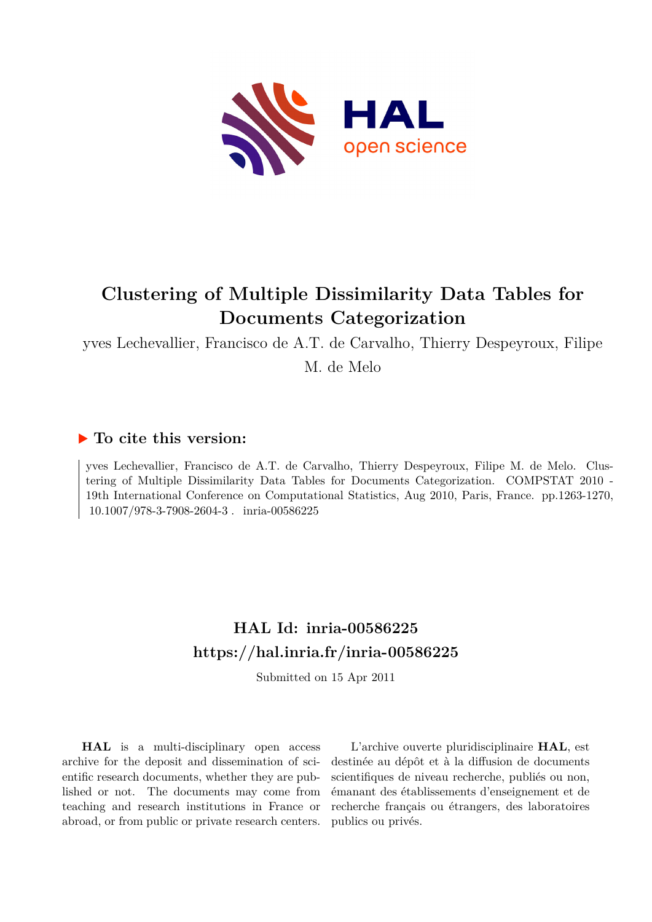

# **Clustering of Multiple Dissimilarity Data Tables for Documents Categorization**

yves Lechevallier, Francisco de A.T. de Carvalho, Thierry Despeyroux, Filipe M. de Melo

# **To cite this version:**

yves Lechevallier, Francisco de A.T. de Carvalho, Thierry Despeyroux, Filipe M. de Melo. Clustering of Multiple Dissimilarity Data Tables for Documents Categorization. COMPSTAT 2010 - 19th International Conference on Computational Statistics, Aug 2010, Paris, France. pp.1263-1270, 10.1007/978-3-7908-2604-3. inria-00586225

# **HAL Id: inria-00586225 <https://hal.inria.fr/inria-00586225>**

Submitted on 15 Apr 2011

**HAL** is a multi-disciplinary open access archive for the deposit and dissemination of scientific research documents, whether they are published or not. The documents may come from teaching and research institutions in France or abroad, or from public or private research centers.

L'archive ouverte pluridisciplinaire **HAL**, est destinée au dépôt et à la diffusion de documents scientifiques de niveau recherche, publiés ou non, émanant des établissements d'enseignement et de recherche français ou étrangers, des laboratoires publics ou privés.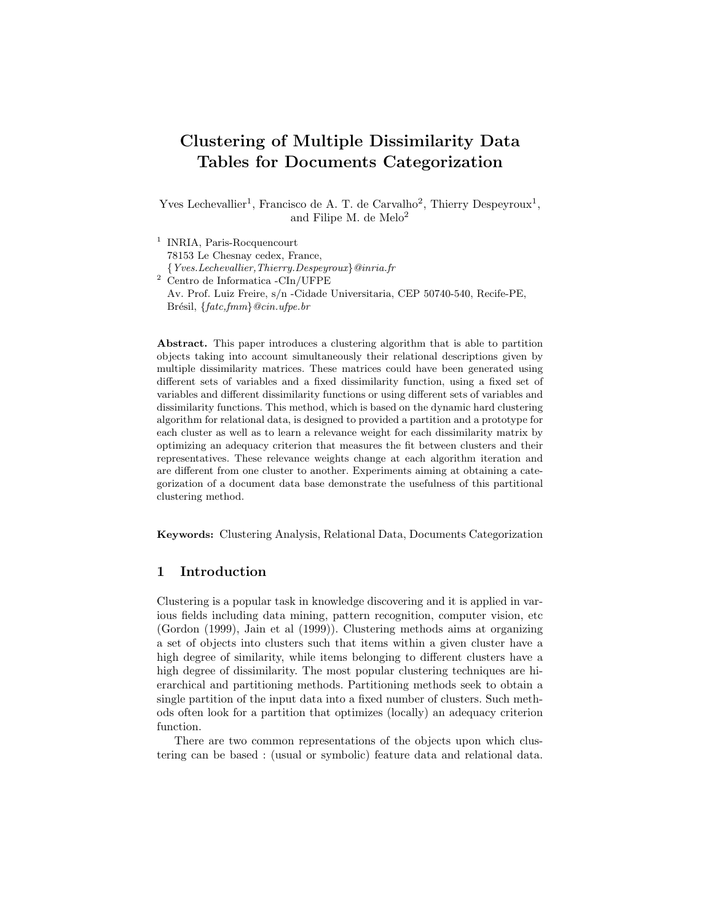# Clustering of Multiple Dissimilarity Data Tables for Documents Categorization

Yves Lechevallier<sup>1</sup>, Francisco de A. T. de Carvalho<sup>2</sup>, Thierry Despeyroux<sup>1</sup>, and Filipe M. de Melo<sup>2</sup>

<sup>1</sup> INRIA, Paris-Rocquencourt 78153 Le Chesnay cedex, France, {Yves.Lechevallier,Thierry.Despeyroux}@inria.fr <sup>2</sup> Centro de Informatica -CIn/UFPE Av. Prof. Luiz Freire, s/n -Cidade Universitaria, CEP 50740-540, Recife-PE, Brésil,  $\{fact, fmm\}$ @cin.ufpe.br

Abstract. This paper introduces a clustering algorithm that is able to partition objects taking into account simultaneously their relational descriptions given by multiple dissimilarity matrices. These matrices could have been generated using different sets of variables and a fixed dissimilarity function, using a fixed set of variables and different dissimilarity functions or using different sets of variables and dissimilarity functions. This method, which is based on the dynamic hard clustering algorithm for relational data, is designed to provided a partition and a prototype for each cluster as well as to learn a relevance weight for each dissimilarity matrix by optimizing an adequacy criterion that measures the fit between clusters and their representatives. These relevance weights change at each algorithm iteration and are different from one cluster to another. Experiments aiming at obtaining a categorization of a document data base demonstrate the usefulness of this partitional clustering method.

Keywords: Clustering Analysis, Relational Data, Documents Categorization

### 1 Introduction

Clustering is a popular task in knowledge discovering and it is applied in various fields including data mining, pattern recognition, computer vision, etc (Gordon (1999), Jain et al (1999)). Clustering methods aims at organizing a set of objects into clusters such that items within a given cluster have a high degree of similarity, while items belonging to different clusters have a high degree of dissimilarity. The most popular clustering techniques are hierarchical and partitioning methods. Partitioning methods seek to obtain a single partition of the input data into a fixed number of clusters. Such methods often look for a partition that optimizes (locally) an adequacy criterion function.

There are two common representations of the objects upon which clustering can be based : (usual or symbolic) feature data and relational data.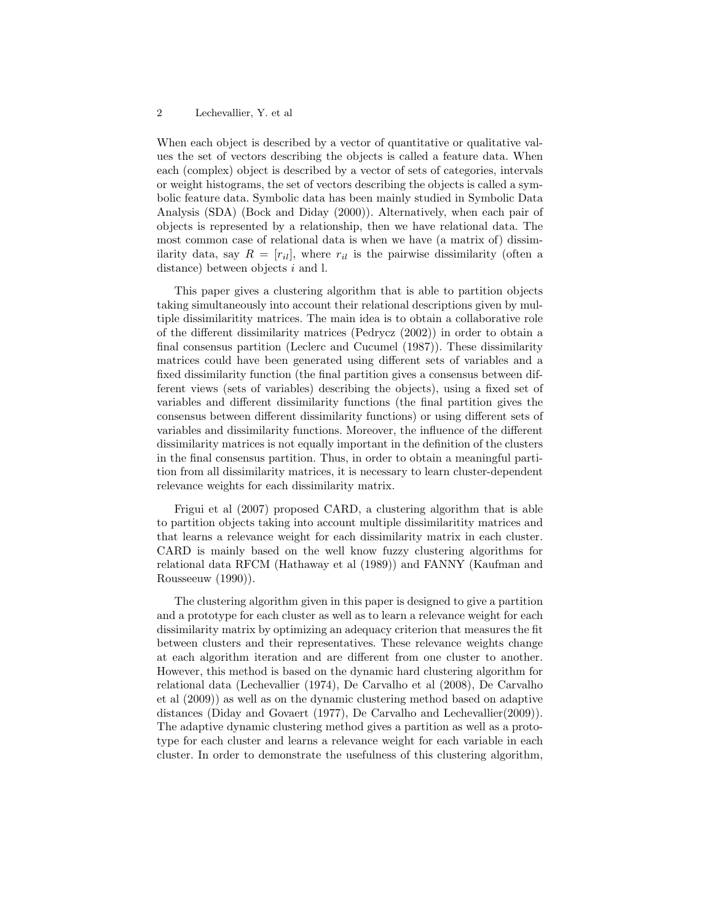#### 2 Lechevallier, Y. et al

When each object is described by a vector of quantitative or qualitative values the set of vectors describing the objects is called a feature data. When each (complex) object is described by a vector of sets of categories, intervals or weight histograms, the set of vectors describing the objects is called a symbolic feature data. Symbolic data has been mainly studied in Symbolic Data Analysis (SDA) (Bock and Diday (2000)). Alternatively, when each pair of objects is represented by a relationship, then we have relational data. The most common case of relational data is when we have (a matrix of) dissimilarity data, say  $R = [r_{il}]$ , where  $r_{il}$  is the pairwise dissimilarity (often a distance) between objects  $i$  and  $l$ .

This paper gives a clustering algorithm that is able to partition objects taking simultaneously into account their relational descriptions given by multiple dissimilaritity matrices. The main idea is to obtain a collaborative role of the different dissimilarity matrices (Pedrycz (2002)) in order to obtain a final consensus partition (Leclerc and Cucumel (1987)). These dissimilarity matrices could have been generated using different sets of variables and a fixed dissimilarity function (the final partition gives a consensus between different views (sets of variables) describing the objects), using a fixed set of variables and different dissimilarity functions (the final partition gives the consensus between different dissimilarity functions) or using different sets of variables and dissimilarity functions. Moreover, the influence of the different dissimilarity matrices is not equally important in the definition of the clusters in the final consensus partition. Thus, in order to obtain a meaningful partition from all dissimilarity matrices, it is necessary to learn cluster-dependent relevance weights for each dissimilarity matrix.

Frigui et al (2007) proposed CARD, a clustering algorithm that is able to partition objects taking into account multiple dissimilaritity matrices and that learns a relevance weight for each dissimilarity matrix in each cluster. CARD is mainly based on the well know fuzzy clustering algorithms for relational data RFCM (Hathaway et al (1989)) and FANNY (Kaufman and Rousseeuw (1990)).

The clustering algorithm given in this paper is designed to give a partition and a prototype for each cluster as well as to learn a relevance weight for each dissimilarity matrix by optimizing an adequacy criterion that measures the fit between clusters and their representatives. These relevance weights change at each algorithm iteration and are different from one cluster to another. However, this method is based on the dynamic hard clustering algorithm for relational data (Lechevallier (1974), De Carvalho et al (2008), De Carvalho et al (2009)) as well as on the dynamic clustering method based on adaptive distances (Diday and Govaert (1977), De Carvalho and Lechevallier(2009)). The adaptive dynamic clustering method gives a partition as well as a prototype for each cluster and learns a relevance weight for each variable in each cluster. In order to demonstrate the usefulness of this clustering algorithm,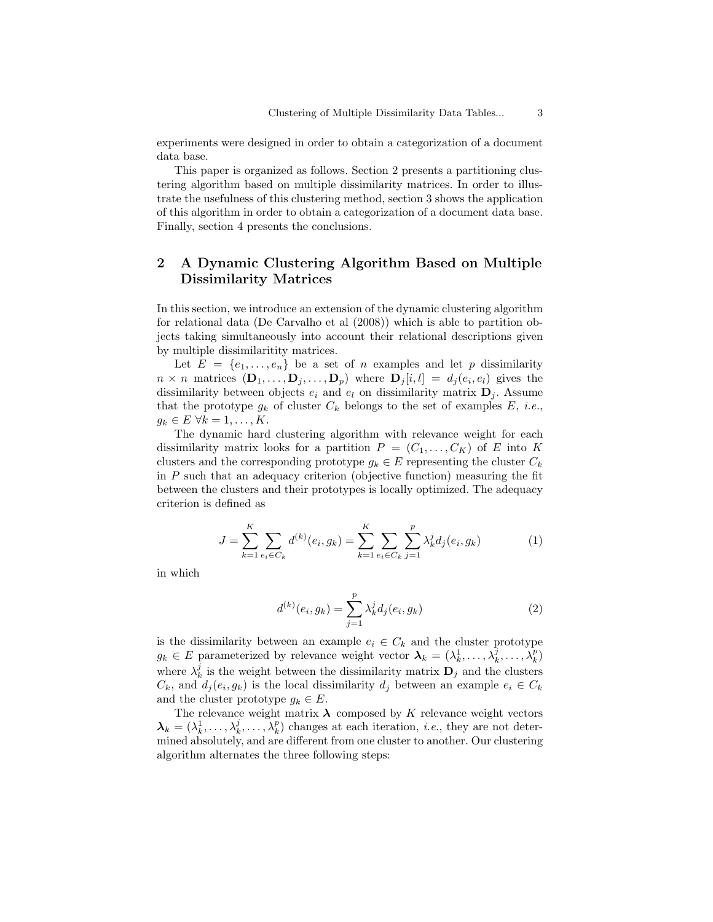experiments were designed in order to obtain a categorization of a document data base.

This paper is organized as follows. Section 2 presents a partitioning clustering algorithm based on multiple dissimilarity matrices. In order to illustrate the usefulness of this clustering method, section 3 shows the application of this algorithm in order to obtain a categorization of a document data base. Finally, section 4 presents the conclusions.

# 2 A Dynamic Clustering Algorithm Based on Multiple Dissimilarity Matrices

In this section, we introduce an extension of the dynamic clustering algorithm for relational data (De Carvalho et al (2008)) which is able to partition objects taking simultaneously into account their relational descriptions given by multiple dissimilaritity matrices.

Let  $E = \{e_1, \ldots, e_n\}$  be a set of n examples and let p dissimilarity  $n \times n$  matrices  $(D_1, \ldots, D_j, \ldots, D_p)$  where  $D_j[i, l] = d_j(e_i, e_l)$  gives the dissimilarity between objects  $e_i$  and  $e_l$  on dissimilarity matrix  $\mathbf{D}_i$ . Assume that the prototype  $g_k$  of cluster  $C_k$  belongs to the set of examples  $E$ , *i.e.*,  $g_k \in E \ \forall k = 1, \ldots, K.$ 

The dynamic hard clustering algorithm with relevance weight for each dissimilarity matrix looks for a partition  $P = (C_1, \ldots, C_K)$  of E into K clusters and the corresponding prototype  $g_k \in E$  representing the cluster  $C_k$ in  $P$  such that an adequacy criterion (objective function) measuring the fit between the clusters and their prototypes is locally optimized. The adequacy criterion is defined as

$$
J = \sum_{k=1}^{K} \sum_{e_i \in C_k} d^{(k)}(e_i, g_k) = \sum_{k=1}^{K} \sum_{e_i \in C_k} \sum_{j=1}^{p} \lambda_k^j d_j(e_i, g_k)
$$
(1)

in which

$$
d^{(k)}(e_i, g_k) = \sum_{j=1}^p \lambda_k^j d_j(e_i, g_k)
$$
 (2)

is the dissimilarity between an example  $e_i \in C_k$  and the cluster prototype  $g_k \in E$  parameterized by relevance weight vector  $\lambda_k = (\lambda_k^1, \ldots, \lambda_k^j, \ldots, \lambda_k^p)$ where  $\lambda_k^j$  is the weight between the dissimilarity matrix  $\mathbf{D}_j$  and the clusters  $C_k$ , and  $d_j(e_i, g_k)$  is the local dissimilarity  $d_j$  between an example  $e_i \in C_k$ and the cluster prototype  $g_k \in E$ .

The relevance weight matrix  $\lambda$  composed by K relevance weight vectors  $\lambda_k = (\lambda_k^1, \ldots, \lambda_k^j, \ldots, \lambda_k^p)$  changes at each iteration, *i.e.*, they are not determined absolutely, and are different from one cluster to another. Our clustering algorithm alternates the three following steps: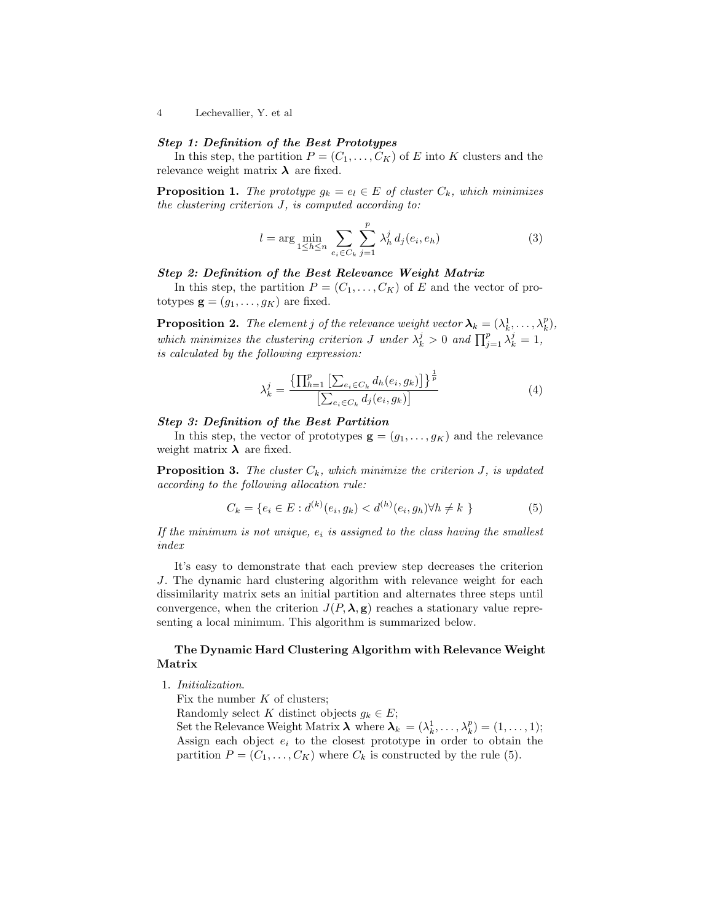4 Lechevallier, Y. et al

#### Step 1: Definition of the Best Prototypes

In this step, the partition  $P = (C_1, \ldots, C_K)$  of E into K clusters and the relevance weight matrix  $\lambda$  are fixed.

**Proposition 1.** *The prototype*  $g_k = e_l \in E$  *of cluster*  $C_k$ *, which minimizes the clustering criterion* J*, is computed according to:*

$$
l = \arg \min_{1 \le h \le n} \sum_{e_i \in C_k} \sum_{j=1}^p \lambda_h^j d_j(e_i, e_h)
$$
 (3)

#### Step 2: Definition of the Best Relevance Weight Matrix

In this step, the partition  $P = (C_1, \ldots, C_K)$  of E and the vector of prototypes  $\mathbf{g} = (g_1, \ldots, g_K)$  are fixed.

**Proposition 2.** The element j of the relevance weight vector  $\boldsymbol{\lambda}_k = (\lambda_k^1, \dots, \lambda_k^p)$ , which minimizes the clustering criterion *J* under  $\lambda_k^j > 0$  and  $\prod_{j=1}^p \lambda_k^j = 1$ , *is calculated by the following expression:*

$$
\lambda_k^j = \frac{\{\prod_{h=1}^p \left[ \sum_{e_i \in C_k} d_h(e_i, g_k) \right] \}^{\frac{1}{p}}}{\left[ \sum_{e_i \in C_k} d_j(e_i, g_k) \right]}
$$
(4)

#### Step 3: Definition of the Best Partition

In this step, the vector of prototypes  $\mathbf{g} = (g_1, \ldots, g_K)$  and the relevance weight matrix  $\lambda$  are fixed.

**Proposition 3.** *The cluster*  $C_k$ *, which minimize the criterion*  $J$ *, is updated according to the following allocation rule:*

$$
C_k = \{e_i \in E : d^{(k)}(e_i, g_k) < d^{(h)}(e_i, g_h) \forall h \neq k \}
$$
\n<sup>(5)</sup>

If the minimum is not unique,  $e_i$  is assigned to the class having the smallest *index*

It's easy to demonstrate that each preview step decreases the criterion J. The dynamic hard clustering algorithm with relevance weight for each dissimilarity matrix sets an initial partition and alternates three steps until convergence, when the criterion  $J(P, \lambda, g)$  reaches a stationary value representing a local minimum. This algorithm is summarized below.

#### The Dynamic Hard Clustering Algorithm with Relevance Weight Matrix

1. *Initialization*.

Fix the number  $K$  of clusters;

Randomly select K distinct objects  $g_k \in E$ ;

Set the Relevance Weight Matrix  $\boldsymbol{\lambda}$  where  $\boldsymbol{\lambda}_k = (\lambda_k^1, \dots, \lambda_k^p) = (1, \dots, 1);$ Assign each object  $e_i$  to the closest prototype in order to obtain the partition  $P = (C_1, \ldots, C_K)$  where  $C_k$  is constructed by the rule (5).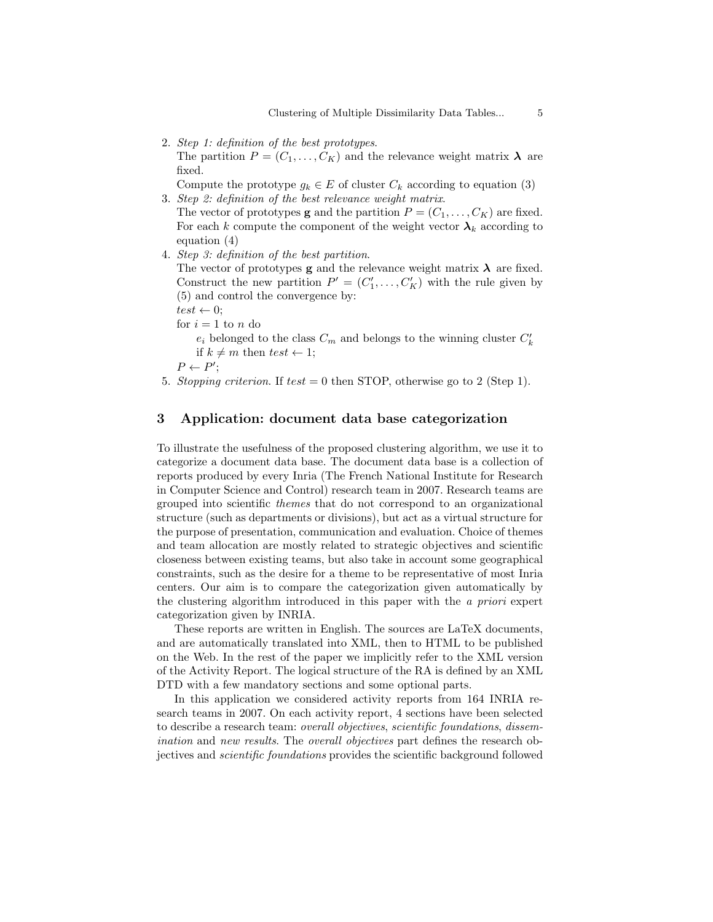2. *Step 1: definition of the best prototypes*.

The partition  $P = (C_1, \ldots, C_K)$  and the relevance weight matrix  $\lambda$  are fixed.

Compute the prototype  $g_k \in E$  of cluster  $C_k$  according to equation (3)

3. *Step 2: definition of the best relevance weight matrix*.

The vector of prototypes **g** and the partition  $P = (C_1, \ldots, C_K)$  are fixed. For each k compute the component of the weight vector  $\lambda_k$  according to equation (4)

4. *Step 3: definition of the best partition*.

The vector of prototypes **g** and the relevance weight matrix  $\lambda$  are fixed. Construct the new partition  $P' = (C'_1, \ldots, C'_K)$  with the rule given by (5) and control the convergence by:

- $test \leftarrow 0$ :
- for  $i=1$  to  $\boldsymbol{n}$  do

 $e_i$  belonged to the class  ${\cal C}_m$  and belongs to the winning cluster  ${\cal C}'_k$ if  $k \neq m$  then  $test \leftarrow 1$ ;

 $P \leftarrow P';$ 

5. *Stopping criterion*. If test = 0 then STOP, otherwise go to 2 (Step 1).

## 3 Application: document data base categorization

To illustrate the usefulness of the proposed clustering algorithm, we use it to categorize a document data base. The document data base is a collection of reports produced by every Inria (The French National Institute for Research in Computer Science and Control) research team in 2007. Research teams are grouped into scientific *themes* that do not correspond to an organizational structure (such as departments or divisions), but act as a virtual structure for the purpose of presentation, communication and evaluation. Choice of themes and team allocation are mostly related to strategic objectives and scientific closeness between existing teams, but also take in account some geographical constraints, such as the desire for a theme to be representative of most Inria centers. Our aim is to compare the categorization given automatically by the clustering algorithm introduced in this paper with the *a priori* expert categorization given by INRIA.

These reports are written in English. The sources are LaTeX documents, and are automatically translated into XML, then to HTML to be published on the Web. In the rest of the paper we implicitly refer to the XML version of the Activity Report. The logical structure of the RA is defined by an XML DTD with a few mandatory sections and some optional parts.

In this application we considered activity reports from 164 INRIA research teams in 2007. On each activity report, 4 sections have been selected to describe a research team: *overall objectives*, *scientific foundations*, *dissemination* and *new results*. The *overall objectives* part defines the research objectives and *scientific foundations* provides the scientific background followed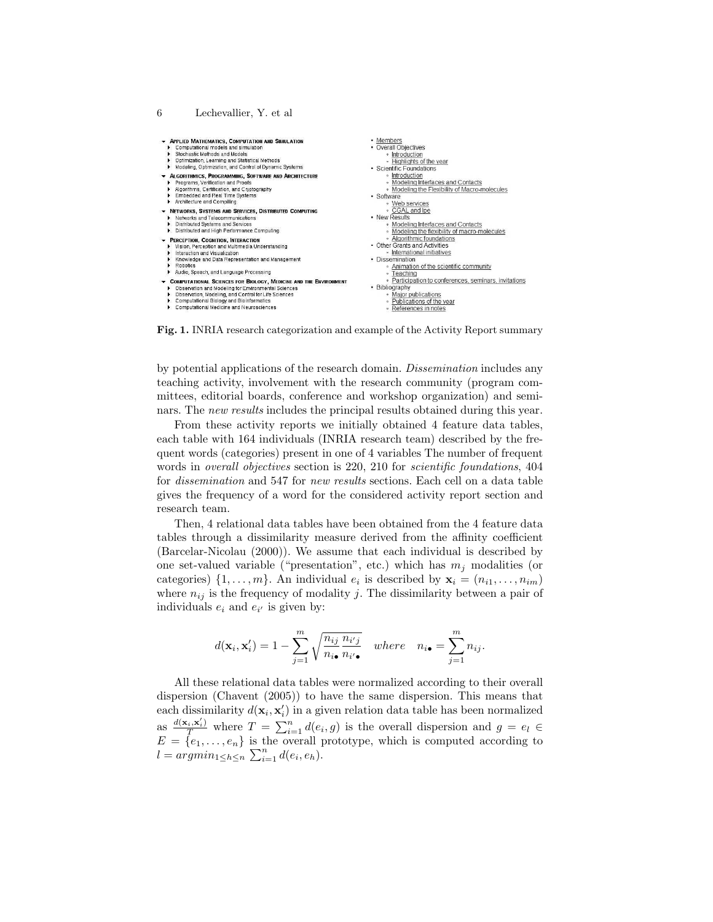

Fig. 1. INRIA research categorization and example of the Activity Report summary

by potential applications of the research domain. *Dissemination* includes any teaching activity, involvement with the research community (program committees, editorial boards, conference and workshop organization) and seminars. The *new results* includes the principal results obtained during this year.

From these activity reports we initially obtained 4 feature data tables, each table with 164 individuals (INRIA research team) described by the frequent words (categories) present in one of 4 variables The number of frequent words in *overall objectives* section is 220, 210 for *scientific foundations*, 404 for *dissemination* and 547 for *new results* sections. Each cell on a data table gives the frequency of a word for the considered activity report section and research team.

Then, 4 relational data tables have been obtained from the 4 feature data tables through a dissimilarity measure derived from the affinity coefficient (Barcelar-Nicolau (2000)). We assume that each individual is described by one set-valued variable ("presentation", etc.) which has  $m_j$  modalities (or categories)  $\{1, \ldots, m\}$ . An individual  $e_i$  is described by  $\mathbf{x}_i = (n_{i1}, \ldots, n_{im})$ where  $n_{ij}$  is the frequency of modality j. The dissimilarity between a pair of individuals  $e_i$  and  $e_{i'}$  is given by:

$$
d(\mathbf{x}_i, \mathbf{x}'_i) = 1 - \sum_{j=1}^m \sqrt{\frac{n_{ij}}{n_{i\bullet}} \frac{n_{i'j}}{n_{i'\bullet}}} \quad \text{where} \quad n_{i\bullet} = \sum_{j=1}^m n_{ij}.
$$

All these relational data tables were normalized according to their overall dispersion (Chavent (2005)) to have the same dispersion. This means that each dissimilarity  $d(\mathbf{x}_i, \mathbf{x}'_i)$  in a given relation data table has been normalized as  $\frac{d(\mathbf{x}_i, \mathbf{x}'_i)}{T}$  where  $T = \sum_{i=1}^n d(e_i, g)$  is the overall dispersion and  $g = e_l \in$  $E = \{e_1, \ldots, e_n\}$  is the overall prototype, which is computed according to  $l = argmin_{1 \leq h \leq n} \sum_{i=1}^{n} d(e_i, e_h).$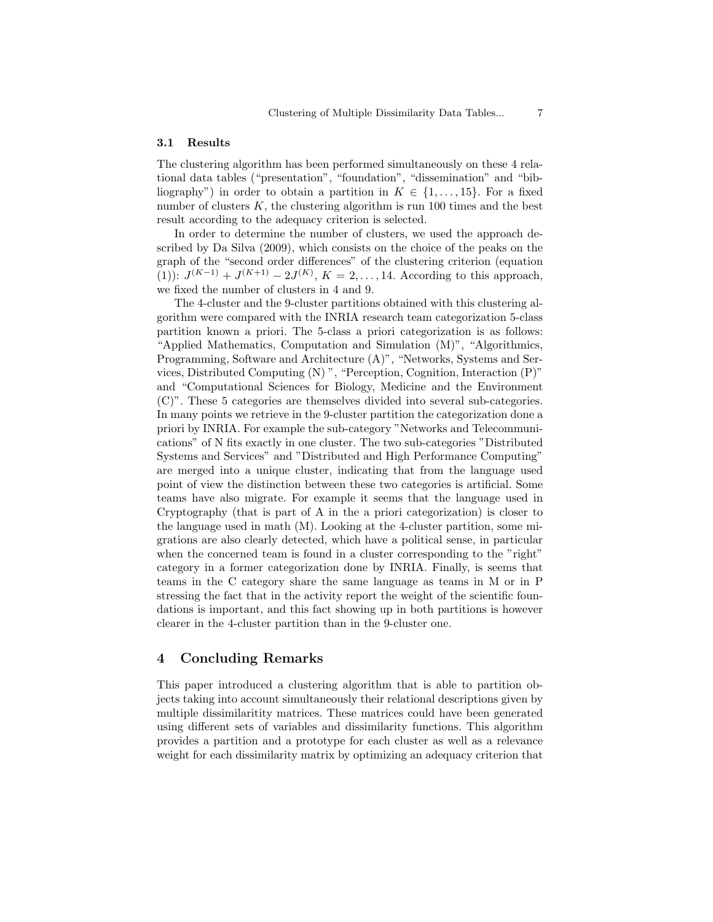#### 3.1 Results

The clustering algorithm has been performed simultaneously on these 4 relational data tables ("presentation", "foundation", "dissemination" and "bibliography") in order to obtain a partition in  $K \in \{1, \ldots, 15\}$ . For a fixed number of clusters  $K$ , the clustering algorithm is run 100 times and the best result according to the adequacy criterion is selected.

In order to determine the number of clusters, we used the approach described by Da Silva (2009), which consists on the choice of the peaks on the graph of the "second order differences" of the clustering criterion (equation (1)):  $J^{(K-1)} + J^{(K+1)} - 2J^{(K)}$ ,  $K = 2, ..., 14$ . According to this approach, we fixed the number of clusters in 4 and 9.

The 4-cluster and the 9-cluster partitions obtained with this clustering algorithm were compared with the INRIA research team categorization 5-class partition known a priori. The 5-class a priori categorization is as follows: "Applied Mathematics, Computation and Simulation (M)", "Algorithmics, Programming, Software and Architecture (A)", "Networks, Systems and Services, Distributed Computing (N) ", "Perception, Cognition, Interaction (P)" and "Computational Sciences for Biology, Medicine and the Environment (C)". These 5 categories are themselves divided into several sub-categories. In many points we retrieve in the 9-cluster partition the categorization done a priori by INRIA. For example the sub-category "Networks and Telecommunications" of N fits exactly in one cluster. The two sub-categories "Distributed Systems and Services" and "Distributed and High Performance Computing" are merged into a unique cluster, indicating that from the language used point of view the distinction between these two categories is artificial. Some teams have also migrate. For example it seems that the language used in Cryptography (that is part of A in the a priori categorization) is closer to the language used in math (M). Looking at the 4-cluster partition, some migrations are also clearly detected, which have a political sense, in particular when the concerned team is found in a cluster corresponding to the "right" category in a former categorization done by INRIA. Finally, is seems that teams in the C category share the same language as teams in M or in P stressing the fact that in the activity report the weight of the scientific foundations is important, and this fact showing up in both partitions is however clearer in the 4-cluster partition than in the 9-cluster one.

### 4 Concluding Remarks

This paper introduced a clustering algorithm that is able to partition objects taking into account simultaneously their relational descriptions given by multiple dissimilaritity matrices. These matrices could have been generated using different sets of variables and dissimilarity functions. This algorithm provides a partition and a prototype for each cluster as well as a relevance weight for each dissimilarity matrix by optimizing an adequacy criterion that